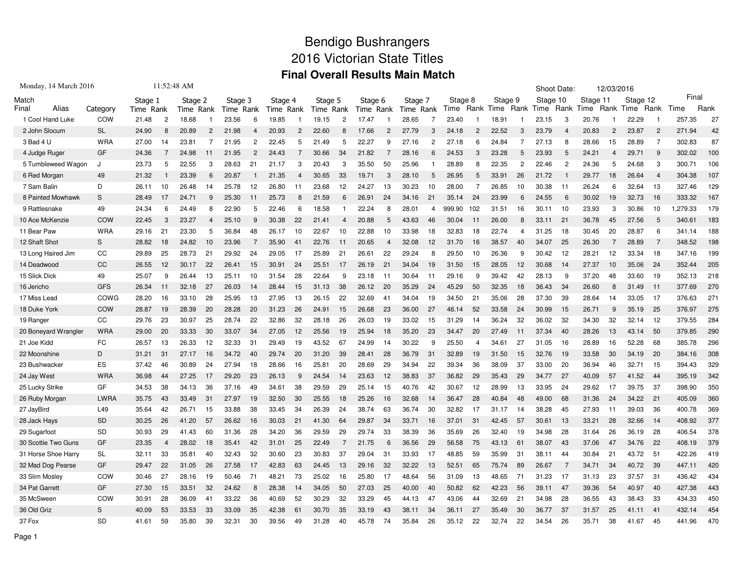## Bendigo Bushrangers 2016 Victorian State Titles **Final Overall Results Main Match**

| Monday, 14 March 2016 |             |           | 11:52:48 AM    |           |                |           |                |           |                |           |                |           |                |           |    |         |                |           | Shoot Date:    |           |                | 12/03/2016 |      |           |                |        |      |
|-----------------------|-------------|-----------|----------------|-----------|----------------|-----------|----------------|-----------|----------------|-----------|----------------|-----------|----------------|-----------|----|---------|----------------|-----------|----------------|-----------|----------------|------------|------|-----------|----------------|--------|------|
| Match                 |             | Stage 1   |                | Stage 2   |                | Stage 3   |                | Stage 4   |                | Stage 5   |                | Stage 6   |                | Stage 7   |    | Stage 8 |                | Stage 9   |                | Stage 10  |                | Stage 11   |      | Stage 12  |                | Final  |      |
| Alias<br>Final        | Category    | Time Rank |                | Time Rank |                | Time Rank |                | Time Rank |                | Time Rank |                | Time Rank |                | Time Rank |    | Time    |                | Rank Time |                | Rank Time | Rank           | Time       | Rank | Time      | Rank           | Time   | Rank |
| 1 Cool Hand Luke      | COW         | 21.48     | $\overline{c}$ | 18.68     |                | 23.56     | 6              | 19.85     |                | 19.15     | $\overline{2}$ | 17.47     |                | 28.65     | 7  | 23.40   |                | 18.91     |                | 23.15     | 3              | 20.76      |      | 22.29     |                | 257.35 | 27   |
| 2 John Slocum         | <b>SL</b>   | 24.90     | 8              | 20.89     | $\overline{2}$ | 21.98     | 4              | 20.93     | 2              | 22.60     |                | 17.66     | $\overline{2}$ | 27.79     | 3  | 24.18   | $\overline{2}$ | 22.52     | 3              | 23.79     | 4              | 20.83      | 2    | 23.87     | $\overline{2}$ | 271.94 | 42   |
| 3 Bad 4 U             | <b>WRA</b>  | 27.00     | 14             | 23.81     | 7              | 21.95     | $\overline{2}$ | 22.45     | 5              | 21.49     | 5              | 22.27     | 9              | 27.16     | 2  | 27.18   | 6              | 24.84     | 7              | 27.13     | 8              | 28.66      | 15   | 28.89     | $\overline{7}$ | 302.83 | 87   |
| 4 Judge Ruger         | GF          | 24.36     |                | 24.98     | 11             | 21.95     | 2              | 24.43     |                | 30.66     | 34             | 21.82     |                | 28.16     | 6  | 24.53   | 3              | 23.28     | 5              | 23.93     | 5              | 24.21      | 4    | 29.71     | -9             | 302.02 | 100  |
| 5 Tumbleweed Wagon    | J           | 23.73     | 5              | 22.55     | 3              | 28.63     | 21             | 21.17     | 3              | 20.43     | 3              | 35.50     | 50             | 25.96     |    | 28.89   | 8              | 22.35     | $\overline{c}$ | 22.46     | $\overline{2}$ | 24.36      | 5    | 24.68     | 3              | 300.71 | 106  |
| 6 Red Morgan          | 49          | 21.32     |                | 23.39     | 6              | 20.87     |                | 21.35     | $\overline{4}$ | 30.65     | 33             | 19.71     | 3              | 28.10     | 5  | 26.95   | 5              | 33.91     | 26             | 21.72     |                | 29.77      | 18   | 26.64     | $\overline{4}$ | 304.38 | 107  |
| 7 Sam Balin           | D           | 26.11     | 10             | 26.48     | 14             | 25.78     | 12             | 26.80     | 11             | 23.68     | 12             | 24.27     | 13             | 30.23     | 10 | 28.00   | $\overline{7}$ | 26.85     | 10             | 30.38     | 11             | 26.24      | 6    | 32.64     | 13             | 327.46 | 129  |
| 8 Painted Mowhawk     | S           | 28.49     | 17             | 24.71     | 9              | 25.30     | 11             | 25.73     | 8              | 21.59     | 6              | 26.91     | 24             | 34.16     | 21 | 35.14   | 24             | 23.99     | 6              | 24.55     | 6              | 30.02      | 19   | 32.73     | 16             | 333.32 | 167  |
| 9 Rattlesnake         | 49          | 24.34     | 6              | 24.49     | 8              | 22.90     | 5              | 22.46     | 6              | 18.58     |                | 22.24     | 8              | 28.01     | 4  | 999.90  | 102            | 31.51     | 16             | 30.11     | 10             | 23.93      | 3    | 30.86     | 10             | 279.33 | 179  |
| 10 Ace McKenzie       | COW         | 22.45     | 3              | 23.27     |                | 25.10     | 9              | 30.38     | 22             | 21.41     |                | 20.88     | 5              | 43.63     | 46 | 30.04   | -11            | 26.00     | 8              | 33.11     | 21             | 36.78      | 45   | 27.56     | 5              | 340.61 | 183  |
| 11 Bear Paw           | <b>WRA</b>  | 29.16     | 21             | 23.30     | 5              | 36.84     | 48             | 26.17     | 10             | 22.67     | 10             | 22.88     | 10             | 33.98     | 18 | 32.83   | 18             | 22.74     | 4              | 31.25     | 18             | 30.45      | 20   | 28.87     | 6              | 341.14 | 188  |
| 12 Shaft Shot         | S           | 28.82     | 18             | 24.82     | 10             | 23.96     | 7              | 35.90     | 41             | 22.76     | 11             | 20.65     | $\overline{4}$ | 32.08     | 12 | 31.70   | 16             | 38.57     | 40             | 34.07     | 25             | 26.30      | 7    | 28.89     | 7              | 348.52 | 198  |
| 13 Long Haired Jim    | CC          | 29.89     | 25             | 28.73     | 21             | 29.92     | 24             | 29.05     | 17             | 25.89     | 21             | 26.61     | 22             | 29.24     | 8  | 29.50   | 10             | 26.36     | 9              | 30.42     | 12             | 28.21      | 12   | 33.34     | 18             | 347.16 | 199  |
| 14 Deadwood           | CC          | 26.55     | 12             | 30.17     | 22             | 26.41     | 15             | 30.91     | 24             | 25.51     | 17             | 26.19     | 21             | 34.04     | 19 | 31.50   | 15             | 28.05     | 12             | 30.68     | 14             | 27.37      | 10   | 35.06     | 24             | 352.44 | 205  |
| 15 Slick Dick         | 49          | 25.07     | 9              | 26.44     | 13             | 25.11     | 10             | 31.54     | 28             | 22.64     | 9              | 23.18     | 11             | 30.64     | 11 | 29.16   | 9              | 39.42     | 42             | 28.13     | 9              | 37.20      | 48   | 33.60     | 19             | 352.13 | 218  |
| 16 Jericho            | <b>GFS</b>  | 26.34     | -11            | 32.18     | 27             | 26.03     | 14             | 28.44     | 15             | 31.13     | 38             | 26.12     | 20             | 35.29     | 24 | 45.29   | 50             | 32.35     | 18             | 36.43     | 34             | 26.60      | 8    | 31.49     | 11             | 377.69 | 270  |
| 17 Miss Lead          | COWG        | 28.20     | 16             | 33.10     | 28             | 25.95     | 13             | 27.95     | 13             | 26.15     | 22             | 32.69     | 41             | 34.04     | 19 | 34.50   | 21             | 35.06     | 28             | 37.30     | 39             | 28.64      | 14   | 33.05     | 17             | 376.63 | 271  |
| 18 Duke York          | COW         | 28.87     | 19             | 28.39     | 20             | 28.28     | 20             | 31.23     | 26             | 24.91     | 15             | 26.68     | 23             | 36.00     | 27 | 46.14   | 52             | 33.58     | 24             | 30.99     | 15             | 26.71      | 9    | 35.19     | 25             | 376.97 | 275  |
| 19 Ranger             | CC          | 29.76     | 23             | 30.97     | 25             | 28.74     | 22             | 32.86     | 32             | 28.18     | 26             | 26.03     | 19             | 33.02     | 15 | 31.29   | 14             | 36.24     | 32             | 36.02     | 32             | 34.30      | 32   | 32.14     | 12             | 379.55 | 284  |
| 20 Boneyard Wrangler  | <b>WRA</b>  | 29.00     | 20             | 33.33     | 30             | 33.07     | 34             | 27.05     | 12             | 25.56     | 19             | 25.94     | 18             | 35.20     | 23 | 34.47   | 20             | 27.49     | 11             | 37.34     | 40             | 28.26      | 13   | 43.14     | 50             | 379.85 | 290  |
| 21 Joe Kidd           | FC          | 26.57     | 13             | 26.33     | 12             | 32.33     | 31             | 29.49     | 19             | 43.52     | 67             | 24.99     | 14             | 30.22     | 9  | 25.50   | $\overline{4}$ | 34.61     | 27             | 31.05     | 16             | 28.89      | 16   | 52.28     | 68             | 385.78 | 296  |
| 22 Moonshine          | D           | 31.21     | 31             | 27.17     | 16             | 34.72     | 40             | 29.74     | 20             | 31.20     | 39             | 28.41     | 28             | 36.79     | 31 | 32.89   | 19             | 31.50     | 15             | 32.76     | 19             | 33.58      | 30   | 34.19     | 20             | 384.16 | 308  |
| 23 Bushwacker         | <b>ES</b>   | 37.42     | 46             | 30.89     | 24             | 27.94     | 18             | 28.66     | 16             | 25.81     | 20             | 28.69     | 29             | 34.94     | 22 | 39.34   | 36             | 38.09     | 37             | 33.00     | 20             | 36.94      | 46   | 32.71     | 15             | 394.43 | 329  |
| 24 Jay West           | <b>WRA</b>  | 36.98     | 44             | 27.25     | 17             | 29.20     | 23             | 26.13     | 9              | 24.54     | 14             | 23.63     | 12             | 38.83     | 37 | 36.82   | 29             | 35.43     | 29             | 34.77     | 27             | 40.09      | 57   | 41.52     | 44             | 395.19 | 342  |
| 25 Lucky Strike       | GF          | 34.53     | 38             | 34.13     | 36             | 37.16     | 49             | 34.61     | 38             | 29.59     | 29             | 25.14     | 15             | 40.76     | 42 | 30.67   | 12             | 28.99     | 13             | 33.95     | 24             | 29.62      | 17   | 39.75     | -37            | 398.90 | 350  |
| 26 Ruby Morgan        | <b>LWRA</b> | 35.75     | 43             | 33.49     | 31             | 27.97     | 19             | 32.50     | 30             | 25.55     | 18             | 25.26     | 16             | 32.68     | 14 | 36.47   | 28             | 40.84     | 48             | 49.00     | 68             | 31.36      | 24   | 34.22     | 21             | 405.09 | 360  |
| 27 JayBird            | L49         | 35.64     | 42             | 26.71     | 15             | 33.88     | 38             | 33.45     | 34             | 26.39     | 24             | 38.74     | 63             | 36.74     | 30 | 32.82   | 17             | 31.17     | 14             | 38.28     | 45             | 27.93      | 11   | 39.03     | 36             | 400.78 | 369  |
| 28 Jack Hays          | <b>SD</b>   | 30.25     | 26             | 41.20     | 57             | 26.62     | 16             | 30.03     | 21             | 41.30     | 64             | 29.87     | 34             | 33.71     | 16 | 37.01   | 31             | 42.45     | 57             | 30.61     | 13             | 33.21      | 28   | 32.66     | 14             | 408.92 | 377  |
| 29 Sugarfoot          | SD          | 30.93     | 29             | 41.43     | 60             | 31.36     | 28             | 34.20     | 36             | 29.59     | 29             | 29.74     | 33             | 38.39     | 36 | 35.69   | 26             | 32.40     | 19             | 34.98     | 28             | 31.64      | 26   | 36.19     | 28             | 406.54 | 378  |
| 30 Scottie Two Guns   | GF          | 23.35     | $\overline{4}$ | 28.02     | 18             | 35.41     | 42             | 31.01     | 25             | 22.49     | 7              | 21.75     | 6              | 36.56     | 29 | 56.58   | 75             | 43.13     | 61             | 38.07     | 43             | 37.06      | 47   | 34.76     | 22             | 408.19 | 379  |
| 31 Horse Shoe Harry   | SL          | 32.11     | 33             | 35.81     | 40             | 32.43     | 32             | 30.60     | 23             | 30.83     | 37             | 29.04     | 31             | 33.93     | 17 | 48.85   | 59             | 35.99     | 31             | 38.11     | 44             | 30.84      | 21   | 43.72     | 51             | 422.26 | 419  |
| 32 Mad Dog Pearse     | GF          | 29.47     | 22             | 31.05     | 26             | 27.58     | 17             | 42.83     | 63             | 24.45     | 13             | 29.16     | 32             | 32.22     | 13 | 52.51   | 65             | 75.74     | 89             | 26.67     | $\overline{7}$ | 34.71      | 34   | 40.72     | 39             | 447.11 | 420  |
| 33 Slim Mosley        | COW         | 30.46     | 27             | 28.16     | 19             | 50.46     | 71             | 48.21     | 73             | 25.02     | 16             | 25.80     | 17             | 48.64     | 56 | 31.09   | 13             | 48.65     | 71             | 31.23     | 17             | 31.13      | 23   | 37.57     | 31             | 436.42 | 434  |
| 34 Pat Garrett        | GF          | 27.30     | 15             | 33.51     | 32             | 24.62     | 8              | 28.38     | 14             | 34.05     | 50             | 27.03     | 25             | 40.00     | 40 | 50.82   | 62             | 42.23     | 56             | 39.11     | 47             | 39.36      | 54   | 40.97     | 40             | 427.38 | 443  |
| 35 McSween            | COW         | 30.91     | 28             | 36.09     | 41             | 33.22     | 36             | 40.69     | 52             | 30.29     | 32             | 33.29     | 45             | 44.13     | 47 | 43.06   | 44             | 32.69     | 21             | 34.98     | 28             | 36.55      | 43   | 38.43     | 33             | 434.33 | 450  |
| 36 Old Griz           | S           | 40.09     | 53             | 33.53     | 33             | 33.09     | 35             | 42.38     | 61             | 30.70     | 35             | 33.19     | 43             | 38.11     | 34 | 36.11   | 27             | 35.49     | 30             | 36.77     | 37             | 31.57      | 25   | 41.11     | 41             | 432.14 | 454  |
| 37 Fox                | <b>SD</b>   | 41.61     | 59             | 35.80     | 39             | 32.31     | 30             | 39.56     | 49             | 31.28     | 40             | 45.78     | 74             | 35.84     | 26 | 35.12   | 22             | 32.74     | 22             | 34.54     | 26             | 35.71      | 38   | 41<br>.67 | 45             | 441.96 | 470  |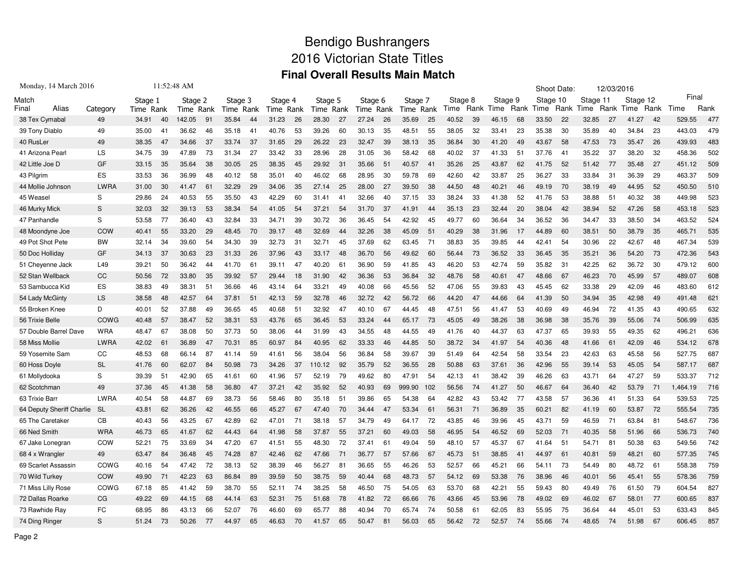## Bendigo Bushrangers 2016 Victorian State Titles **Final Overall Results Main Match**

| Monday, 14 March 2016     |             |           | 11:52:48 AM |           |    |           |    |           |    |         |      |           |    |         |      |         |                |         | Shoot Date: |          |      | 12/03/2016 |      |           |      |          |      |
|---------------------------|-------------|-----------|-------------|-----------|----|-----------|----|-----------|----|---------|------|-----------|----|---------|------|---------|----------------|---------|-------------|----------|------|------------|------|-----------|------|----------|------|
| Match                     |             | Stage 1   |             | Stage 2   |    | Stage 3   |    | Stage 4   |    | Stage 5 |      | Stage 6   |    | Stage 7 |      | Stage 8 |                | Stage 9 |             | Stage 10 |      | Stage 11   |      | Stage 12  |      | Final    |      |
| Alias<br>Final            | Category    | Time Rank |             | Time Rank |    | Time Rank |    | Time Rank |    | Time    | Rank | Time Rank |    | Time    | Rank | Time    | Rank           | Time    | Rank        | Time     | Rank | Time       | Rank | Time      | Rank | Time     | Rank |
| 38 Tex Cymabal            | 49          | 34.91     | 40          | 142.05    | 91 | 35.84     | 44 | 31.23     | 26 | 28.30   | 27   | 27.24     | 26 | 35.69   | 25   | 40.52   | -39            | 46.15   | 68          | 33.50    | 22   | 32.85      | 27   | 41.27     | 42   | 529.55   | 477  |
| 39 Tony Diablo            | 49          | 35.00     | 41          | 36.62     | 46 | 35.18     | 41 | 40.76     | 53 | 39.26   | 60   | 30.13     | 35 | 48.51   | 55   | 38.05   | 32             | 33.41   | 23          | 35.38    | 30   | 35.89      | 40   | 34.84     | 23   | 443.03   | 479  |
| 40 RusLer                 | 49          | 38.35     | 47          | 34.66     | 37 | 33.74     | 37 | 31.65     | 29 | 26.22   | 23   | 32.47     | 39 | 38.13   | 35   | 36.84   | 30             | 41.20   | 49          | 43.67    | 58   | 47.53      | 73   | 35.47     | 26   | 439.93   | 483  |
| 41 Arizona Pearl          | LS          | 34.75     | 39          | 47.89     | 73 | 31.34     | 27 | 33.42     | 33 | 28.96   | 28   | 31.05     | 36 | 58.42   | 68   | 40.02   | 37             | 41.33   | 51          | 37.76    | 41   | 35.22      | 37   | 38.20     | 32   | 458.36   | 502  |
| 42 Little Joe D           | GF          | 33.15     | 35          | 35.64     | 38 | 30.05     | 25 | 38.35     | 45 | 29.92   | 31   | 35.66     | 51 | 40.57   | 41   | 35.26   | 25             | 43.87   | 62          | 41.75    | 52   | 51.42      | 77   | 35.48     | 27   | 451.12   | 509  |
| 43 Pilgrim                | ES          | 33.53     | 36          | 36.99     | 48 | 40.12     | 58 | 35.01     | 40 | 46.02   | 68   | 28.95     | 30 | 59.78   | 69   | 42.60   | 42             | 33.87   | 25          | 36.27    | 33   | 33.84      | 31   | 36.39     | 29   | 463.37   | 509  |
| 44 Mollie Johnson         | <b>LWRA</b> | 31.00     | 30          | 41.47     | 61 | 32.29     | 29 | 34.06     | 35 | 27.14   | 25   | 28.00     | 27 | 39.50   | 38   | 44.50   | 48             | 40.21   | 46          | 49.19    | 70   | 38.19      | 49   | 44.95     | 52   | 450.50   | 510  |
| 45 Weasel                 | S           | 29.86     | 24          | 40.53     | 55 | 35.50     | 43 | 42.29     | 60 | 31.41   | 41   | 32.66     | 40 | 37.15   | 33   | 38.24   | 33             | 41.38   | 52          | 41.76    | 53   | 38.88      | 51   | 40.32     | 38   | 449.98   | 523  |
| 46 Murky Mick             | S           | 32.03     | 32          | 39.13     | 53 | 38.34     | 54 | 41.05     | 54 | 37.21   | 54   | 31.70     | 37 | 41.91   | 44   | 35.13   | 23             | 32.44   | 20          | 38.04    | 42   | 38.94      | 52   | 47.26     | 58   | 453.18   | 523  |
| 47 Panhandle              | S           | 53.58     | 77          | 36.40     | 43 | 32.84     | 33 | 34.71     | 39 | 30.72   | 36   | 36.45     | 54 | 42.92   | 45   | 49.77   | 60             | 36.64   | 34          | 36.52    | 36   | 34.47      | 33   | 38.50     | -34  | 463.52   | 524  |
| 48 Moondyne Joe           | COW         | 40.41     | 55          | 33.20     | 29 | 48.45     | 70 | 39.17     | 48 | 32.69   | 44   | 32.26     | 38 | 45.09   | 51   | 40.29   | 38             | 31.96   | 17          | 44.89    | 60   | 38.51      | 50   | 38.79     | 35   | 465.71   | 535  |
| 49 Pot Shot Pete          | <b>BW</b>   | 32.14     | 34          | 39.60     | 54 | 34.30     | 39 | 32.73     | 31 | 32.71   | 45   | 37.69     | 62 | 63.45   | 71   | 38.83   | 35             | 39.85   | 44          | 42.41    | 54   | 30.96      | 22   | 42.67     | 48   | 467.34   | 539  |
| 50 Doc Holliday           | GF          | 34.13     | 37          | 30.63     | 23 | 31.33     | 26 | 37.96     | 43 | 33.17   | 48   | 36.70     | 56 | 49.62   | 60   | 56.44   | 73             | 36.52   | 33          | 36.45    | 35   | 35.21      | 36   | 54.20     | 73   | 472.36   | 543  |
| 51 Cheyenne Jack          | L49         | 39.21     | 50          | 36.42     | 44 | 41.70     | 61 | 39.11     | 47 | 40.20   | 61   | 36.90     | 59 | 41.85   | 43   | 46.20   | 53             | 42.74   | 59          | 35.82    | 31   | 42.25      | 62   | 36.72     | 30   | 479.12   | 600  |
| 52 Stan Wellback          | CC          | 50.56     | 72          | 33.80     | 35 | 39.92     | 57 | 29.44     | 18 | 31.90   | 42   | 36.36     | 53 | 36.84   | 32   | 48.76   | 58             | 40.61   | 47          | 48.66    | 67   | 46.23      | 70   | 45.99     | 57   | 489.07   | 608  |
| 53 Sambucca Kid           | ES          | 38.83     | 49          | 38.31     | 51 | 36.66     | 46 | 43.14     | 64 | 33.21   | 49   | 40.08     | 66 | 45.56   | 52   | 47.06   | 55             | 39.83   | 43          | 45.45    | 62   | 33.38      | 29   | 42.09     | 46   | 483.60   | 612  |
| 54 Lady McGinty           | LS          | 38.58     | 48          | 42.57     | 64 | 37.81     | 51 | 42.13     | 59 | 32.78   | 46   | 32.72     | 42 | 56.72   | 66   | 44.20   | 47             | 44.66   | 64          | 41.39    | 50   | 34.94      | 35   | 42.98     | 49   | 491.48   | 621  |
| 55 Broken Knee            | D           | 40.01     | 52          | 37.88     | 49 | 36.65     | 45 | 40.68     | 51 | 32.92   | 47   | 40.10     | 67 | 44.45   | 48   | 47.51   | 56             | 41.47   | 53          | 40.69    | 49   | 46.94      | 72   | 41.35     | 43   | 490.65   | 632  |
| 56 Trixie Belle           | COWG        | 40.48     | 57          | 38.47     | 52 | 38.31     | 53 | 43.76     | 65 | 36.45   | 53   | 33.24     | 44 | 65.17   | 73   | 45.05   | 49             | 38.26   | 38          | 36.98    | 38   | 35.76      | 39   | 55.06     | 74   | 506.99   | 635  |
| 57 Double Barrel Dave     | <b>WRA</b>  | 48.47     | 67          | 38.08     | 50 | 37.73     | 50 | 38.06     | 44 | 31.99   | 43   | 34.55     | 48 | 44.55   | 49   | 41.76   | 40             | 44.37   | 63          | 47.37    | 65   | 39.93      | 55   | 49.35     | 62   | 496.21   | 636  |
| 58 Miss Mollie            | LWRA        | 42.02     | 61          | 36.89     | 47 | 70.31     | 85 | 60.97     | 84 | 40.95   | 62   | 33.33     | 46 | 44.85   | 50   | 38.72   | 34             | 41.97   | 54          | 40.36    | 48   | 41.66      | 61   | 42.09     | 46   | 534.12   | 678  |
| 59 Yosemite Sam           | CC          | 48.53     | 68          | 66.14     | 87 | 41.14     | 59 | 41.61     | 56 | 38.04   | 56   | 36.84     | 58 | 39.67   | 39   | 51.49   | 64             | 42.54   | 58          | 33.54    | 23   | 42.63      | 63   | 45.58     | 56   | 527.75   | 687  |
| 60 Hoss Doyle             | <b>SL</b>   | 41.76     | 60          | 62.07     | 84 | 50.98     | 73 | 34.26     | 37 | 110.12  | 92   | 35.79     | 52 | 36.55   | 28   | 50.88   | 63             | 37.61   | 36          | 42.96    | 55   | 39.14      | 53   | 45.05     | 54   | 587.17   | 687  |
| 61 Mollydooka             | S           | 39.39     | 51          | 42.90     | 65 | 41.61     | 60 | 41.96     | 57 | 52.19   | 79   | 49.62     | 80 | 47.91   | 54   | 42.13   | 4 <sup>1</sup> | 38.42   | 39          | 46.26    | 63   | 43.71      | 64   | 47.27     | 59   | 533.37   | 712  |
| 62 Scotchman              | 49          | 37.36     | 45          | 41.38     | 58 | 36.80     | 47 | 37.21     | 42 | 35.92   | 52   | 40.93     | 69 | 999.90  | 102  | 56.56   | 74             | 41.27   | 50          | 46.67    | 64   | 36.40      | 42   | 53.79     | 71   | 1,464.19 | 716  |
| 63 Trixie Barr            | <b>LWRA</b> | 40.54     | 58          | 44.87     | 69 | 38.73     | 56 | 58.46     | 80 | 35.18   | 51   | 39.86     | 65 | 54.38   | 64   | 42.82   | 43             | 53.42   | 77          | 43.58    | 57   | 36.36      | 41   | 51.33     | 64   | 539.53   | 725  |
| 64 Deputy Sheriff Charlie | <b>SL</b>   | 43.81     | 62          | 36.26     | 42 | 46.55     | 66 | 45.27     | 67 | 47.40   | 70   | 34.44     | 47 | 53.34   | 61   | 56.31   | 71             | 36.89   | 35          | 60.21    | 82   | 41.19      | 60   | 53.87     | 72   | 555.54   | 735  |
| 65 The Caretaker          | CB          | 40.43     | 56          | 43.25     | 67 | 42.89     | 62 | 47.01     | 71 | 38.18   | 57   | 34.79     | 49 | 64.17   | 72   | 43.85   | 46             | 39.96   | 45          | 43.71    | 59   | 46.59      | 71   | 63.84     | 81   | 548.67   | 736  |
| 66 Ned Smith              | <b>WRA</b>  | 46.73     | 65          | 41.67     | 62 | 44.43     | 64 | 41.98     | 58 | 37.87   | 55   | 37.21     | 60 | 49.03   | 58   | 46.95   | 54             | 46.52   | 69          | 52.03    | 71   | 40.35      | 58   | 51.96     | 66   | 536.73   | 740  |
| 67 Jake Lonegran          | COW         | 52.21     | 75          | 33.69     | 34 | 47.20     | 67 | 41.51     | 55 | 48.30   | 72   | 37.41     | 61 | 49.04   | 59   | 48.10   | 57             | 45.37   | 67          | 41.64    | 51   | 54.71      | 81   | 50.38     | 63   | 549.56   | 742  |
| 68 4 x Wrangler           | 49          | 63.47     | 84          | 36.48     | 45 | 74.28     | 87 | 42.46     | 62 | 47.66   | 71   | 36.77     | 57 | 57.66   | 67   | 45.73   | 51             | 38.85   | 41          | 44.97    | 61   | 40.81      | 59   | 48.21     | 60   | 577.35   | 745  |
| 69 Scarlet Assassin       | COWG        | 40.16     | 54          | 47.42     | 72 | 38.13     | 52 | 38.39     | 46 | 56.27   | 81   | 36.65     | 55 | 46.26   | 53   | 52.57   | 66             | 45.21   | 66          | 54.11    | 73   | 54.49      | 80   | 48.72     | 61   | 558.38   | 759  |
| 70 Wild Turkey            | COW         | 49.90     | 71          | 42.23     | 63 | 86.84     | 89 | 39.59     | 50 | 38.75   | 59   | 40.44     | 68 | 48.73   | 57   | 54.12   | 69             | 53.38   | 76          | 38.96    | 46   | 40.01      | 56   | 45.41     | 55   | 578.36   | 759  |
| 71 Miss Lilly Rose        | COWG        | 67.18     | 85          | 41.42     | 59 | 38.70     | 55 | 52.11     | 74 | 38.25   | 58   | 46.50     | 75 | 54.05   | 63   | 53.70   | 68             | 42.21   | 55          | 59.43    | 80   | 49.49      | 76   | 61.50     | 79   | 604.54   | 827  |
| 72 Dallas Roarke          | CG          | 49.22     | 69          | 44.15     | 68 | 44.14     | 63 | 52.31     | 75 | 51.68   | 78   | 41.82     | 72 | 66.66   | 76   | 43.66   | 45             | 53.96   | 78          | 49.02    | 69   | 46.02      | 67   | 58.01     | -77  | 600.65   | 837  |
| 73 Rawhide Ray            | FC          | 68.95     | 86          | 43.13     | 66 | 52.07     | 76 | 46.60     | 69 | 65.77   | 88   | 40.94     | 70 | 65.74   | 74   | 50.58   | 61             | 62.05   | 83          | 55.95    | 75   | 36.64      | 44   | 45.01     | 53   | 633.43   | 845  |
| 74 Ding Ringer            | S           | 51.24     | 73          | 50.26     | 77 | 44.97     | 65 | 46.63     | 70 | 41.57   | 65   | 50.47     | 81 | 56.03   | 65   | 56.42   | 72             | 52.57   | 74          | 55.66    | 74   | 48.65      | 74   | .98<br>51 | 67   | 606.45   | 857  |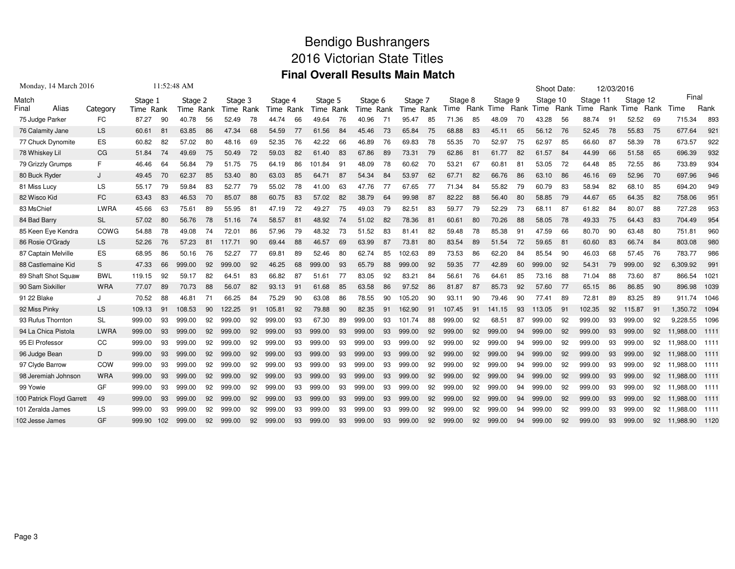## Bendigo Bushrangers 2016 Victorian State Titles **Final Overall Results Main Match**

| Monday, 14 March 2016     |            |           | 11:52:48 AM |           |    |           |    |           |    |           |    |           |    |           |    |         |      |         |    | Shoot Date: |      | 12/03/2016 |      |          |      |           |        |
|---------------------------|------------|-----------|-------------|-----------|----|-----------|----|-----------|----|-----------|----|-----------|----|-----------|----|---------|------|---------|----|-------------|------|------------|------|----------|------|-----------|--------|
| Match                     |            | Stage 1   |             | Stage 2   |    | Stage 3   |    | Stage 4   |    | Stage 5   |    | Stage 6   |    | Stage 7   |    | Stage 8 |      | Stage 9 |    | Stage 10    |      | Stage 11   |      | Stage 12 |      | Final     |        |
| Alias<br>Final            | Category   | Time Rank |             | Time Rank |    | Time Rank |    | Time Rank |    | Time Rank |    | Time Rank |    | Time Rank |    | Гimе    | Rank | Time    |    | Rank Time   | Rank | Time       | Rank | Time     | Rank | Time      | Rank   |
| 75 Judge Parker           | FC         | 87.27     | 90          | 40.78     | 56 | 52.49     | 78 | 44.74     | 66 | 49.64     | 76 | 40.96     | 71 | 95.47     | 85 | 71.36   | 85   | 48.09   | 70 | 43.28       | 56   | 88.74      | 91   | 52.52    | 69   | 715.34    | 893    |
| 76 Calamity Jane          | <b>LS</b>  | 60.61     | -81         | 63.85     | 86 | 47.34     | 68 | 54.59     | 77 | 61.56     | 84 | 45.46     | 73 | 65.84     | 75 | 68.88   | 83   | 45.11   | 65 | 56.12       | 76   | 52.45      | 78   | 55.83    | 75   | 677.64    | 921    |
| 77 Chuck Dynomite         | ES         | 60.82     | 82          | 57.02     | 80 | 48.16     | 69 | 52.35     | 76 | 42.22     | 66 | 46.89     | 76 | 69.83     | 78 | 55.35   | 70   | 52.97   | 75 | 62.97       | 85   | 66.60      | 87   | 58.39    | 78   | 673.57    | 922    |
| 78 Whiskey Lil            | CG         | 51.84     | 74          | 49.69     | 75 | 50.49     | 72 | 59.03     | 82 | 61.40     | 83 | 67.86     | 89 | 73.31     | 79 | 62.86   | -81  | 61.77   | 82 | 61.57       | 84   | 44.99      | 66   | 51.58    | 65   | 696.39    | 932    |
| 79 Grizzly Grumps         | F.         | 46.46     | 64          | 56.84     | 79 | 51.75     | 75 | 64.19     | 86 | 101.84    | 91 | 48.09     | 78 | 60.62     | 70 | 53.21   | 67   | 60.81   | 81 | 53.05       | 72   | 64.48      | 85   | 72.55    | 86   | 733.89    | 934    |
| 80 Buck Ryder             |            | 49.45     | 70          | 62.37     | 85 | 53.40     | 80 | 63.03     | 85 | 64.71     | 87 | 54.34     | 84 | 53.97     | 62 | 67.71   | 82   | 66.76   | 86 | 63.10       | 86   | 46.16      | 69   | 52.96    | 70   | 697.96    | 946    |
| 81 Miss Lucy              | LS.        | 55.17     | 79          | 59.84     | 83 | 52.77     | 79 | 55.02     | 78 | 41.00     | 63 | 47.76     | 77 | 67.65     | 77 | 71.34   | 84   | 55.82   | 79 | 60.79       | 83   | 58.94      | 82   | 68.10    | 85   | 694.20    | 949    |
| 82 Wisco Kid              | FC         | 63.43     | 83          | 46.53     | 70 | 85.07     | 88 | 60.75     | 83 | 57.02     | 82 | 38.79     | 64 | 99.98     | 87 | 82.22   | 88   | 56.40   | 80 | 58.85       | 79   | 44.67      | 65   | 64.35    | 82   | 758.06    | 951    |
| 83 MsChief                | LWRA       | 45.66     | 63          | 75.61     | 89 | 55.95     | 81 | 47.19     | 72 | 49.27     | 75 | 49.03     | 79 | 82.51     | 83 | 59.77   | 79   | 52.29   | 73 | 68.11       | 87   | 61.82      | 84   | 80.07    | 88   | 727.28    | 953    |
| 84 Bad Barry              | <b>SL</b>  | 57.02     | 80          | 56.76     | 78 | 51.16     | 74 | 58.57     | 81 | 48.92     | 74 | 51.02     | 82 | 78.36     | 81 | 60.61   | 80   | 70.26   | 88 | 58.05       | 78   | 49.33      | 75   | 64.43    | 83   | 704.49    | 954    |
| 85 Keen Eye Kendra        | COWG       | 54.88     | 78          | 49.08     | 74 | 72.01     | 86 | 57.96     | 79 | 48.32     | 73 | 51.52     | 83 | 81.41     | 82 | 59.48   | 78   | 85.38   | 91 | 47<br>.59   | 66   | 80.70      | 90   | 63.48    | 80   | 751.81    | 960    |
| 86 Rosie O'Grady          | <b>LS</b>  | 52.26     | 76          | 57.23     | 81 | 117.71    | 90 | 69.44     | 88 | 46.57     | 69 | 63.99     | 87 | 73.81     | 80 | 83.54   | 89   | 51.54   | 72 | 59.65       | 81   | 60.60      | 83   | 66.74    | 84   | 803.08    | 980    |
| 87 Captain Melville       | <b>ES</b>  | 68.95     | 86          | 50.16     | 76 | 52.27     | 77 | 69.81     | 89 | 52.46     | 80 | 62.74     | 85 | 102.63    | 89 | 73.53   | 86   | 62.20   | 84 | 85.54       | 90   | 46.03      | 68   | 57.45    | 76   | 783.77    | 986    |
| 88 Castlemaine Kid        | S          | 47.33     | 66          | 999.00    | 92 | 999.00    | 92 | 46.25     | 68 | 999.00    | 93 | 65.79     | 88 | 999.00    | 92 | 59.35   | 77   | 42.89   | 60 | 999.00      | 92   | 54.31      | 79   | 999.00   | 92   | 6,309.92  | 991    |
| 89 Shaft Shot Squaw       | <b>BWL</b> | 119.15    | 92          | 59.17     | 82 | 64.51     | 83 | 66.82     | 87 | 51.61     | 77 | 83.05     | 92 | 83.21     | 84 | 56.61   | 76   | 64.61   | 85 | 73.16       | 88   | 71.04      | 88   | 73.60    | 87   | 866.54    | 1021   |
| 90 Sam Sixkiller          | <b>WRA</b> | 77.07     | 89          | 70.73     | 88 | 56.07     | 82 | 93.13     | 91 | 61.68     | 85 | 63.58     | 86 | 97.52     | 86 | 81.87   | 87   | 85.73   | 92 | 57.60       | 77   | 65.15      | 86   | 86.85    | 90   | 896.98    | 1039   |
| 91 22 Blake               |            | 70.52     | 88          | 46.81     | 71 | 66.25     | 84 | 75.29     | 90 | 63.08     | 86 | 78.55     | 90 | 105.20    | 90 | 93.11   | 90   | 79.46   | 90 | 77.41       | 89   | 72.81      | 89   | 83.25    | 89   | 911.74    | 1046   |
| 92 Miss Pinky             | <b>LS</b>  | 109.13    | 91          | 108.53    | 90 | 122.25    | 91 | 105.81    | 92 | 79.88     | 90 | 82.35     | 91 | 162.90    | 91 | 107.45  | 91   | 141.15  | 93 | 113.05      | 91   | 102.35     | 92   | 115.87   | 91   | 1,350.72  | 1094   |
| 93 Rufus Thornton         | <b>SL</b>  | 999.00    | 93          | 999.00    | 92 | 999.00    | 92 | 999.00    | 93 | 67.30     | 89 | 999.00    | 93 | 101.74    | 88 | 999.00  | 92   | 68.51   | 87 | 999.00      | 92   | 999.00     | 93   | 999.00   | 92   | 9.228.55  | 1096   |
| 94 La Chica Pistola       | LWRA       | 999.00    | 93          | 999.00    | 92 | 999.00    | 92 | 999.00    | 93 | 999.00    | 93 | 999.00    | 93 | 999.00    | 92 | 999.00  | 92   | 999.00  | 94 | 999.00      | 92   | 999.00     | 93   | 999.00   | 92   | 11.988.00 | 1111   |
| 95 El Professor           | CC         | 999.00    | 93          | 999.00    | 92 | 999.00    | 92 | 999.00    | 93 | 999.00    | 93 | 999.00    | 93 | 999.00    | 92 | 999.00  | 92   | 999.00  | 94 | 999.00      | 92   | 999.00     | 93   | 999.00   | 92   | 11,988.00 | 1111   |
| 96 Judge Bean             | D          | 999.00    | 93          | 999.00    | 92 | 999.00    | 92 | 999.00    | 93 | 999.00    | 93 | 999.00    | 93 | 999.00    | 92 | 999.00  | 92   | 999.00  | 94 | 999.00      | 92   | 999.00     | 93   | 999.00   | 92   | 11.988.00 | 1111   |
| 97 Clyde Barrow           | COW        | 999.00    | 93          | 999.00    | 92 | 999.00    | 92 | 999.00    | 93 | 999.00    | 93 | 999.00    | 93 | 999.00    | 92 | 999.00  | 92   | 999.00  | 94 | 999.00      | 92   | 999.00     | 93   | 999.00   | 92   | 11.988.00 | 1111   |
| 98 Jeremiah Johnson       | <b>WRA</b> | 999.00    | 93          | 999.00    | 92 | 999.00    | 92 | 999.00    | 93 | 999.00    | 93 | 999.00    | 93 | 999.00    | 92 | 999.00  | 92   | 999.00  | 94 | 999.00      | 92   | 999.00     | 93   | 999.00   | 92   | 11.988.00 | - 1111 |
| 99 Yowie                  | GF         | 999.00    | 93          | 999.00    | 92 | 999.00    | 92 | 999.00    | 93 | 999.00    | 93 | 999.00    | 93 | 999.00    | 92 | 999.00  | 92   | 999.00  | 94 | 999.00      | 92   | 999.00     | 93   | 999.00   | 92   | 11.988.00 | - 1111 |
| 100 Patrick Floyd Garrett | 49         | 999.00    | 93          | 999.00    | 92 | 999.00    | 92 | 999.00    | 93 | 999.00    | 93 | 999.00    | 93 | 999.00    | 92 | 999.00  | 92   | 999.00  | 94 | 999.00      | 92   | 999.00     | 93   | 999.00   | 92   | 11.988.00 | - 1111 |
| 101 Zeralda James         | LS         | 999.00    | 93          | 999.00    | 92 | 999.00    | 92 | 999.00    | 93 | 999.00    | 93 | 999.00    | 93 | 999.00    | 92 | 999.00  | 92   | 999.00  | 94 | 999.00      | 92   | 999.00     | 93   | 999.00   | 92   | 11.988.00 | - 1111 |
| 102 Jesse James           | GF         | 999.90    | 102         | 999.00    | 92 | 999.00    | 92 | 999.00    | 93 | 999.00    | 93 | 999.00    | 93 | 999.00    | 92 | 999.00  | 92   | 999.00  | 94 | 999.00      | 92   | 999.00     | 93   | 999.00   | 92   | 11,988.90 | 1120   |
|                           |            |           |             |           |    |           |    |           |    |           |    |           |    |           |    |         |      |         |    |             |      |            |      |          |      |           |        |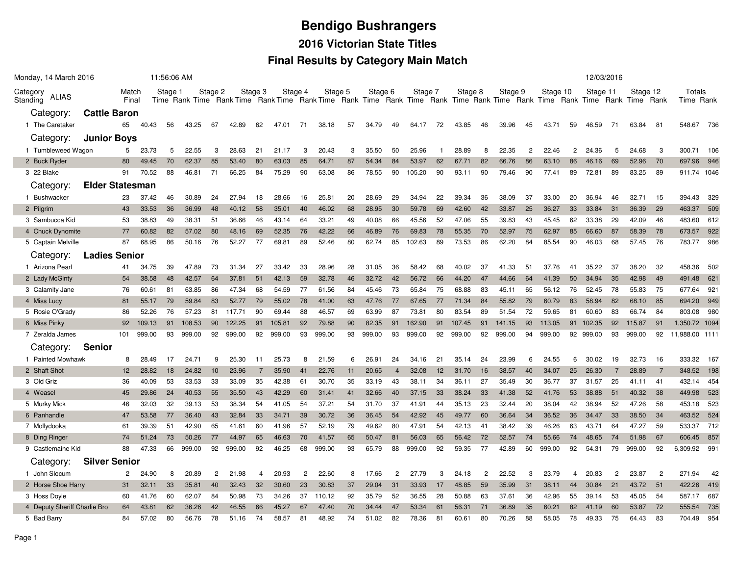# **Bendigo Bushrangers2016 Victorian State Titles**

#### **Final Results by Category Main Match**

| Monday, 14 March 2016         |                        |                |        | 11:56:06 AM |        |                |        |         |        |                |         |    |         |                |         |    |         |                |                                                                                                                                    |                |          |                | 12/03/2016 |                |          |                |                     |     |
|-------------------------------|------------------------|----------------|--------|-------------|--------|----------------|--------|---------|--------|----------------|---------|----|---------|----------------|---------|----|---------|----------------|------------------------------------------------------------------------------------------------------------------------------------|----------------|----------|----------------|------------|----------------|----------|----------------|---------------------|-----|
| Category<br>ALIAS<br>Standing |                        | Match<br>Final |        | Stage 1     |        | Stage 2        |        | Stage 3 |        | Stage 4        | Stage 5 |    | Stage 6 |                | Stage 7 |    | Stage 8 |                | Stage 9<br>Time Rank Time Rank Time Rank Time Rank Time Rank Time Rank Time Rank Time Rank Time Rank Time Rank Time Rank Time Rank |                | Stage 10 |                | Stage 11   |                | Stage 12 |                | Totals<br>Time Rank |     |
| Category:                     | <b>Cattle Baron</b>    |                |        |             |        |                |        |         |        |                |         |    |         |                |         |    |         |                |                                                                                                                                    |                |          |                |            |                |          |                |                     |     |
| 1 The Caretaker               |                        | 65             | 40.43  | 56          | 43.25  | 67             | 42.89  | 62      | 47.01  | 71             | 38.18   | 57 | 34.79   | 49             | 64.17   | 72 | 43.85   | 46             | 39.96                                                                                                                              | 45             | 43.71    | 59             | 46.59      | 71             | 63.84    | 81             | 548.67              | 736 |
| Category:                     | <b>Junior Boys</b>     |                |        |             |        |                |        |         |        |                |         |    |         |                |         |    |         |                |                                                                                                                                    |                |          |                |            |                |          |                |                     |     |
| 1 Tumbleweed Wagon            |                        | 5              | 23.73  | 5           | 22.55  | 3              | 28.63  | 21      | 21.17  | 3              | 20.43   | 3  | 35.50   | 50             | 25.96   | -1 | 28.89   | 8              | 22.35                                                                                                                              | $\overline{2}$ | 22.46    | $\overline{2}$ | 24.36      | 5              | 24.68    | 3              | 300.71              | 106 |
| 2 Buck Ryder                  |                        | 80             | 49.45  | 70          | 62.37  | 85             | 53.40  | 80      | 63.03  | 85             | 64.71   | 87 | 54.34   | 84             | 53.97   | 62 | 67.71   | 82             | 66.76                                                                                                                              | 86             | 63.10    | 86             | 46.16      | 69             | 52.96    | 70             | 697.96              | 946 |
| 3 22 Blake                    |                        | 91             | 70.52  | 88          | 46.81  | 71             | 66.25  | 84      | 75.29  | 90             | 63.08   | 86 | 78.55   | 90             | 105.20  | 90 | 93.11   | 90             | 79.46                                                                                                                              | 90             | 77.41    | 89             | 72.81      | 89             | 83.25    | 89             | 911.74 1046         |     |
| Category:                     | <b>Elder Statesman</b> |                |        |             |        |                |        |         |        |                |         |    |         |                |         |    |         |                |                                                                                                                                    |                |          |                |            |                |          |                |                     |     |
| 1 Bushwacker                  |                        | 23             | 37.42  | 46          | 30.89  | 24             | 27.94  | 18      | 28.66  | 16             | 25.81   | 20 | 28.69   | 29             | 34.94   | 22 | 39.34   | 36             | 38.09                                                                                                                              | 37             | 33.00    | 20             | 36.94      | 46             | 32.71    | 15             | 394.43              | 329 |
| 2 Pilgrim                     |                        | 43             | 33.53  | 36          | 36.99  | 48             | 40.12  | 58      | 35.01  | 40             | 46.02   | 68 | 28.95   | 30             | 59.78   | 69 | 42.60   | 42             | 33.87                                                                                                                              | 25             | 36.27    | 33             | 33.84      | 31             | 36.39    | 29             | 463.37              | 509 |
| 3 Sambucca Kid                |                        | 53             | 38.83  | 49          | 38.31  | 51             | 36.66  | 46      | 43.14  | 64             | 33.21   | 49 | 40.08   | 66             | 45.56   | 52 | 47.06   | 55             | 39.83                                                                                                                              | 43             | 45.45    | 62             | 33.38      | 29             | 42.09    | 46             | 483.60              | 612 |
| 4 Chuck Dynomite              |                        | 77             | 60.82  | 82          | 57.02  | 80             | 48.16  | 69      | 52.35  | 76             | 42.22   | 66 | 46.89   | 76             | 69.83   | 78 | 55.35   | 70             | 52.97                                                                                                                              | 75             | 62.97    | 85             | 66.60      | 87             | 58.39    | 78             | 673.57              | 922 |
| 5 Captain Melville            |                        | 87             | 68.95  | 86          | 50.16  | 76             | 52.27  | 77      | 69.81  | 89             | 52.46   | 80 | 62.74   | 85             | 102.63  | 89 | 73.53   | 86             | 62.20                                                                                                                              | 84             | 85.54    | 90             | 46.03      | 68             | 57.45    | 76             | 783.77              | 986 |
| Category:                     | <b>Ladies Senior</b>   |                |        |             |        |                |        |         |        |                |         |    |         |                |         |    |         |                |                                                                                                                                    |                |          |                |            |                |          |                |                     |     |
| 1 Arizona Pearl               |                        | 41             | 34.75  | 39          | 47.89  | 73             | 31.34  | 27      | 33.42  | 33             | 28.96   | 28 | 31.05   | 36             | 58.42   | 68 | 40.02   | 37             | 41.33                                                                                                                              | 51             | 37.76    | 41             | 35.22      | 37             | 38.20    | 32             | 458.36              | 502 |
| 2 Lady McGinty                |                        | 54             | 38.58  | 48          | 42.57  | 64             | 37.81  | 51      | 42.13  | 59             | 32.78   | 46 | 32.72   | 42             | 56.72   | 66 | 44.20   | 47             | 44.66                                                                                                                              | 64             | 41.39    | 50             | 34.94      | 35             | 42.98    | 49             | 491.48              | 621 |
| 3 Calamity Jane               |                        | 76             | 60.61  | 81          | 63.85  | 86             | 47.34  | 68      | 54.59  | 77             | 61.56   | 84 | 45.46   | 73             | 65.84   | 75 | 68.88   | 83             | 45.11                                                                                                                              | 65             | 56.12    | 76             | 52.45      | 78             | 55.83    | 75             | 677.64              | 921 |
| 4 Miss Lucy                   |                        | 81             | 55.17  | 79          | 59.84  | 83             | 52.77  | 79      | 55.02  | 78             | 41.00   | 63 | 47.76   | 77             | 67.65   | 77 | 71.34   | 84             | 55.82                                                                                                                              | 79             | 60.79    | 83             | 58.94      | 82             | 68.10    | 85             | 694.20 949          |     |
| 5 Rosie O'Grady               |                        | 86             | 52.26  | 76          | 57.23  | 81             | 117.71 | 90      | 69.44  | 88             | 46.57   | 69 | 63.99   | 87             | 73.81   | 80 | 83.54   | 89             | 51.54                                                                                                                              | 72             | 59.65    | 81             | 60.60      | 83             | 66.74    | 84             | 803.08              | 980 |
| 6 Miss Pinky                  |                        | 92             | 109.13 | 91          | 108.53 | 90             | 122.25 | 91      | 105.81 | 92             | 79.88   | 90 | 82.35   | 91             | 162.90  | 91 | 107.45  | 91             | 141.15                                                                                                                             | 93             | 113.05   | 91             | 102.35     | 92             | 115.87   | 91             | 1,350.72 1094       |     |
| 7 Zeralda James               |                        | 101            | 999.00 | 93          | 999.00 | 92             | 999.00 | 92      | 999.00 | 93             | 999.00  | 93 | 999.00  | 93             | 999.00  | 92 | 999.00  | 92             | 999.00                                                                                                                             | 94             | 999.00   | 92             | 999.00     | 93             | 999.00   | 92             | 11,988.00 1111      |     |
| Category:                     | <b>Senior</b>          |                |        |             |        |                |        |         |        |                |         |    |         |                |         |    |         |                |                                                                                                                                    |                |          |                |            |                |          |                |                     |     |
| 1 Painted Mowhawk             |                        | 8              | 28.49  | 17          | 24.71  | 9              | 25.30  | 11      | 25.73  | 8              | 21.59   | 6  | 26.91   | 24             | 34.16   | 21 | 35.14   | 24             | 23.99                                                                                                                              | 6              | 24.55    | 6              | 30.02      | 19             | 32.73    | 16             | 333.32 167          |     |
| 2 Shaft Shot                  |                        | 12             | 28.82  | 18          | 24.82  | 10             | 23.96  | 7       | 35.90  | 41             | 22.76   | 11 | 20.65   | $\overline{4}$ | 32.08   | 12 | 31.70   | 16             | 38.57                                                                                                                              | 40             | 34.07    | 25             | 26.30      |                | 28.89    | $\overline{7}$ | 348.52              | 198 |
| 3 Old Griz                    |                        | 36             | 40.09  | 53          | 33.53  | 33             | 33.09  | 35      | 42.38  | 61             | 30.70   | 35 | 33.19   | 43             | 38.11   | 34 | 36.11   | 27             | 35.49                                                                                                                              | 30             | 36.77    | 37             | 31.57      | 25             | 41.11    | 41             | 432.14              | 454 |
| 4 Weasel                      |                        | 45             | 29.86  | 24          | 40.53  | 55             | 35.50  | 43      | 42.29  | 60             | 31.41   | 41 | 32.66   | 40             | 37.15   | 33 | 38.24   | 33             | 41.38                                                                                                                              | 52             | 41.76    | 53             | 38.88      | 51             | 40.32    | 38             | 449.98              | 523 |
| 5 Murky Mick                  |                        | 46             | 32.03  | 32          | 39.13  | 53             | 38.34  | 54      | 41.05  | 54             | 37.21   | 54 | 31.70   | 37             | 41.91   | 44 | 35.13   | 23             | 32.44                                                                                                                              | 20             | 38.04    | 42             | 38.94      | 52             | 47.26    | 58             | 453.18              | 523 |
| 6 Panhandle                   |                        | 47             | 53.58  | 77          | 36.40  | 43             | 32.84  | 33      | 34.71  | 39             | 30.72   | 36 | 36.45   | 54             | 42.92   | 45 | 49.77   | 60             | 36.64                                                                                                                              | 34             | 36.52    | 36             | 34.47      | 33             | 38.50    | 34             | 463.52              | 524 |
| 7 Mollydooka                  |                        | 61             | 39.39  | 51          | 42.90  | 65             | 41.61  | 60      | 41.96  | 57             | 52.19   | 79 | 49.62   | 80             | 47.91   | 54 | 42.13   | 41             | 38.42                                                                                                                              | 39             | 46.26    | 63             | 43.71      | 64             | 47.27    | 59             | 533.37              | 712 |
| 8 Ding Ringer                 |                        | 74             | 51.24  | 73          | 50.26  | 77             | 44.97  | 65      | 46.63  | 70             | 41.57   | 65 | 50.47   | 81             | 56.03   | 65 | 56.42   | 72             | 52.57                                                                                                                              | 74             | 55.66    | 74             | 48.65      | 74             | 51.98    | 67             | 606.45              | 857 |
| 9 Castlemaine Kid             |                        | 88             | 47.33  | 66          | 999.00 | 92             | 999.00 | 92      | 46.25  | 68             | 999.00  | 93 | 65.79   | 88             | 999.00  | 92 | 59.35   | 77             | 42.89                                                                                                                              | 60             | 999.00   | 92             | 54.31      | 79             | 999.00   | 92             | 6,309.92            | 991 |
| Category:                     | <b>Silver Senior</b>   |                |        |             |        |                |        |         |        |                |         |    |         |                |         |    |         |                |                                                                                                                                    |                |          |                |            |                |          |                |                     |     |
| 1 John Slocum                 |                        | 2              | 24.90  | 8           | 20.89  | $\overline{2}$ | 21.98  | 4       | 20.93  | $\overline{c}$ | 22.60   | 8  | 17.66   | $\overline{c}$ | 27.79   | 3  | 24.18   | $\overline{2}$ | 22.52                                                                                                                              | 3              | 23.79    | 4              | 20.83      | $\overline{c}$ | 23.87    | $\overline{c}$ | 271.94              | 42  |
| 2 Horse Shoe Harry            |                        | 31             | 32.11  | 33          | 35.81  | 40             | 32.43  | 32      | 30.60  | 23             | 30.83   | 37 | 29.04   | 31             | 33.93   | 17 | 48.85   | 59             | 35.99                                                                                                                              | 31             | 38.11    | 44             | 30.84      | 21             | 43.72    | $-51$          | 422.26              | 419 |
| 3 Hoss Doyle                  |                        | 60             | 41.76  | 60          | 62.07  | 84             | 50.98  | 73      | 34.26  | 37             | 110.12  | 92 | 35.79   | 52             | 36.55   | 28 | 50.88   | 63             | 37.61                                                                                                                              | 36             | 42.96    | 55             | 39.14      | 53             | 45.05    | 54             | 587.17              | 687 |
| 4 Deputy Sheriff Charlie Bro  |                        | 64             | 43.81  | 62          | 36.26  | 42             | 46.55  | 66      | 45.27  | 67             | 47.40   | 70 | 34.44   | 47             | 53.34   | 61 | 56.31   | 71             | 36.89                                                                                                                              | 35             | 60.21    | 82             | 41.19      | 60             | 53.87    | 72             | 555.54              | 735 |
| 5 Bad Barry                   |                        | 84             | 57.02  | 80          | 56.76  | 78             | 51.16  | 74      | 58.57  | 81             | 48.92   | 74 | 51.02   | 82             | 78.36   | 81 | 60.61   | 80             | 70.26                                                                                                                              | 88             | 58.05    | 78             | 49.33      | 75             | 64.43    | 83             | 704.49              | 954 |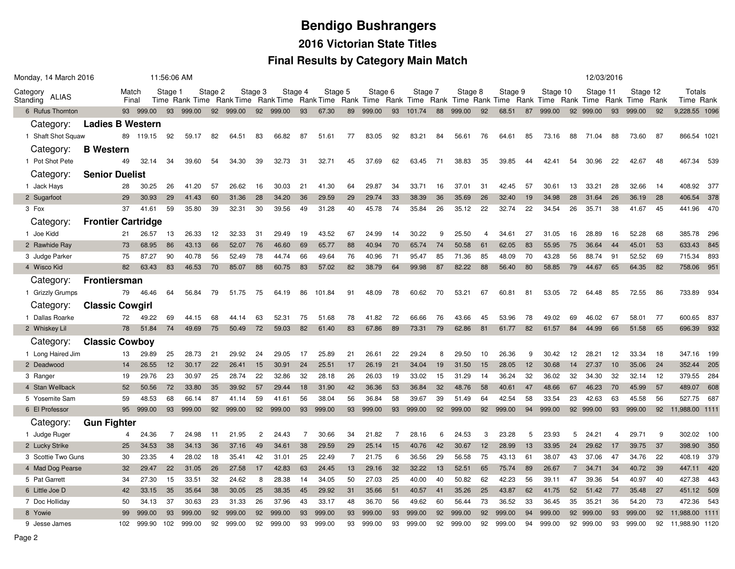# **Bendigo Bushrangers 2016 Victorian State TitlesFinal Results by Category Main Match**

|                      | Monday, 14 March 2016                  |                           |                | 11:56:06 AM    |                      |                |          |                                                                                                                         |                |                |                |                |                      |                |         |                |          |                |          |                |          |                | 12/03/2016           |                |          |                |          |                      |      |
|----------------------|----------------------------------------|---------------------------|----------------|----------------|----------------------|----------------|----------|-------------------------------------------------------------------------------------------------------------------------|----------------|----------------|----------------|----------------|----------------------|----------------|---------|----------------|----------|----------------|----------|----------------|----------|----------------|----------------------|----------------|----------|----------------|----------|----------------------|------|
| Category<br>Standing | ALIAS                                  |                           | Match<br>Final |                | Stage 1              |                | Stage 2  | Time Rank Time Rank Time Rank Time Rank Time Rank Time Rank Time Rank Time Rank Time Rank Time Rank Time Rank Time Rank | Stage 3        | Stage 4        |                | Stage 5        |                      | Stage 6        |         | Stage 7        |          | Stage 8        |          | Stage 9        |          | Stage 10       |                      | Stage 11       |          | Stage 12       |          | Totals<br>Time Rank  |      |
|                      | 6 Rufus Thornton                       |                           |                | 93 999.00      |                      | 93 999.00      |          | 92 999.00                                                                                                               |                | 92 999.00      | 93             | 67.30          | 89                   | 999.00         | 93      | 101.74         | 88       | 999.00         | 92       | 68.51          | 87       | 999.00         |                      | 92 999.00      | 93       | 999.00         | 92       | 9,228.55 1096        |      |
|                      | Category:                              | <b>Ladies B Western</b>   |                |                |                      |                |          |                                                                                                                         |                |                |                |                |                      |                |         |                |          |                |          |                |          |                |                      |                |          |                |          |                      |      |
|                      | 1 Shaft Shot Squaw                     |                           |                | 89 119.15      | 92                   | 59.17          | 82       | 64.51                                                                                                                   | 83             | 66.82          | 87             | 51.61          | 77                   | 83.05          | 92      | 83.21          | 84       | 56.61          | 76       | 64.61          | 85       | 73.16          | 88                   | 71.04          | 88       | 73.60          | 87       | 866.54 102           |      |
|                      | Category:                              | <b>B</b> Western          |                |                |                      |                |          |                                                                                                                         |                |                |                |                |                      |                |         |                |          |                |          |                |          |                |                      |                |          |                |          |                      |      |
|                      | 1 Pot Shot Pete                        |                           | 49             | 32.14          | 34                   | 39.60          | 54       | 34.30                                                                                                                   | 39             | 32.73          | 31             | 32.71          | 45                   | 37.69          | 62      | 63.45          | 71       | 38.83          | 35       | 39.85          | 44       | 42.41          | 54                   | 30.96          | 22       | 42.67          | 48       | 467.34               | 539  |
|                      | Category:                              | <b>Senior Duelist</b>     |                |                |                      |                |          |                                                                                                                         |                |                |                |                |                      |                |         |                |          |                |          |                |          |                |                      |                |          |                |          |                      |      |
|                      | 1 Jack Hays                            |                           | 28             | 30.25          | 26                   | 41.20          | 57       | 26.62                                                                                                                   | 16             | 30.03          | 21             | 41.30          | 64                   | 29.87          | 34      | 33.71          | 16       | 37.01          | 31       | 42.45          | 57       | 30.61          | 13                   | 33.21          | 28       | 32.66          | 14       | 408.92               | 377  |
|                      | 2 Sugarfoot                            |                           | 29             | 30.93          | 29                   | 41.43          | 60       | 31.36                                                                                                                   | 28             | 34.20          | 36             | 29.59          | 29                   | 29.74          | 33      | 38.39          | 36       | 35.69          | 26       | 32.40          | 19       | 34.98          | 28                   | 31.64          | 26       | 36.19          | 28       | 406.54               | 378  |
| 3 Fox                |                                        |                           | 37             | 41.61          | 59                   | 35.80          | 39       | 32.31                                                                                                                   | 30             | 39.56          | 49             | 31.28          | 40                   | 45.78          | 74      | 35.84          | 26       | 35.12          | 22       | 32.74          | 22       | 34.54          | 26                   | 35.71          | 38       | 41.67          | 45       | 441.96               | 470  |
|                      | Category:                              | <b>Frontier Cartridge</b> |                |                |                      |                |          |                                                                                                                         |                |                |                |                |                      |                |         |                |          |                |          |                |          |                |                      |                |          |                |          |                      |      |
|                      | 1 Joe Kidd                             |                           | 21             | 26.57          | 13                   | 26.33          | 12       | 32.33                                                                                                                   | 31             | 29.49          | 19             | 43.52          | 67                   | 24.99          | 14      | 30.22          | 9        | 25.50          | 4        | 34.61          | 27       | 31.05          | 16                   | 28.89          | 16       | 52.28          | 68       | 385.78               | 296  |
|                      | 2 Rawhide Ray                          |                           | 73             | 68.95          | 86                   | 43.13          | 66       | 52.07                                                                                                                   | 76             | 46.60          | 69             | 65.77          | 88                   | 40.94          | 70      | 65.74          | 74       | 50.58          | 61       | 62.05          | 83       | 55.95          | 75                   | 36.64          | 44       | 45.01          | 53       | 633.43               | 845  |
|                      | 3 Judge Parker                         |                           | 75             | 87.27          | 90                   | 40.78          | 56       | 52.49                                                                                                                   | 78             | 44.74          | 66             | 49.64          | 76                   | 40.96          | 71      | 95.47          | 85       | 71.36          | 85       | 48.09          | 70       | 43.28          | 56                   | 88.74          | 91       | 52.52          | 69       | 715.34               | 893  |
|                      | 4 Wisco Kid                            |                           | 82             | 63.43          | 83                   | 46.53          | 70       | 85.07                                                                                                                   | 88             | 60.75          | 83             | 57.02          | 82                   | 38.79          | 64      | 99.98          | 87       | 82.22          | 88       | 56.40          | 80       | 58.85          | 79                   | 44.67          | 65       | 64.35          | 82       | 758.06               | 951  |
|                      | Category:                              | <b>Frontiersman</b>       |                |                |                      |                |          |                                                                                                                         |                |                |                |                |                      |                |         |                |          |                |          |                |          |                |                      |                |          |                |          |                      |      |
|                      | 1 Grizzly Grumps                       |                           | 79             | 46.46          | 64                   | 56.84          | 79       | 51.75                                                                                                                   | 75             | 64.19          | 86             | 101.84         | 91                   | 48.09          | 78      | 60.62          | 70       | 53.21          | 67       | 60.81          | 81       | 53.05          | 72                   | 64.48          | 85       | 72.55          | 86       | 733.89               | 934  |
|                      | Category:                              | <b>Classic Cowgirl</b>    |                |                |                      |                |          |                                                                                                                         |                |                |                |                |                      |                |         |                |          |                |          |                |          |                |                      |                |          |                |          |                      |      |
|                      | 1 Dallas Roarke                        |                           | 72             | 49.22          | 69                   | 44.15          | 68       | 44.14                                                                                                                   | 63             | 52.31          | 75             | 51.68          | 78                   | 41.82          | 72      | 66.66          | 76       | 43.66          | 45       | 53.96          | 78       | 49.02          | 69                   | 46.02          | 67       | 58.01          | -77      | 600.65               | -837 |
|                      | 2 Whiskey Lil                          |                           | 78             | 51.84          | 74                   | 49.69          | 75       | 50.49                                                                                                                   | 72             | 59.03          | 82             | 61.40          | 83                   | 67.86          | 89      | 73.31          | 79       | 62.86          | 81       | 61.77          | 82       | 61.57          | 84                   | 44.99          | 66       | 51.58          | 65       | 696.39 932           |      |
|                      | Category:                              | <b>Classic Cowboy</b>     |                |                |                      |                |          |                                                                                                                         |                |                |                |                |                      |                |         |                |          |                |          |                |          |                |                      |                |          |                |          |                      |      |
|                      | 1 Long Haired Jim                      |                           | 13             | 29.89          | 25                   | 28.73          | 21       | 29.92                                                                                                                   | 24             | 29.05          | 17             | 25.89          | 21                   | 26.61          | 22      | 29.24          | 8        | 29.50          | 10       | 26.36          | 9        | 30.42          | 12                   | 28.21          | 12       | 33.34          | 18       | 347.16               | 199  |
|                      | 2 Deadwood                             |                           | 14             | 26.55          | 12                   | 30.17          | 22       | 26.41                                                                                                                   | 15             | 30.91          | 24             | 25.51          | 17                   | 26.19          | 21      | 34.04          | 19       | 31.50          | 15       | 28.05          | 12       | 30.68          | 14                   | 27.37          | 10       | 35.06          | 24       | 352.44 205           |      |
|                      | 3 Ranger                               |                           | 19             | 29.76          | 23                   | 30.97          | 25       | 28.74                                                                                                                   | 22             | 32.86          | 32             | 28.18          | 26                   | 26.03          | 19      | 33.02          | 15       | 31.29          | 14       | 36.24          | 32       | 36.02          | 32                   | 34.30          | 32       | 32.14          | 12       | 379.55               | 284  |
|                      | 4 Stan Wellback                        |                           | 52             | 50.56          | 72                   | 33.80          | 35       | 39.92                                                                                                                   | 57             | 29.44          | 18             | 31.90          | 42                   | 36.36          | 53      | 36.84          | 32       | 48.76          | 58       | 40.61          | 47       | 48.66          | 67                   | 46.23          | 70       | 45.99          | 57       | 489.07               | 608  |
|                      | 5 Yosemite Sam                         |                           | 59             | 48.53          | 68                   | 66.14          | 87       | 41.14                                                                                                                   | 59             | 41.61          | 56             | 38.04          | 56                   | 36.84          | 58      | 39.67          | 39       | 51.49          | 64       | 42.54          | 58       | 33.54          | 23                   | 42.63          | 63       | 45.58          | 56       | 527.75               | 687  |
|                      | 6 El Professor                         |                           | 95             | 999.00         | 93                   | 999.00         | 92       | 999.00                                                                                                                  | 92             | 999.00         | 93             | 999.00         | 93                   | 999.00         | 93      | 999.00         | 92       | 999.00         | 92       | 999.00         | 94       | 999.00         |                      | 92 999.00      | 93       | 999.00         | 92       | 11,988.00 1111       |      |
|                      | Category:                              | <b>Gun Fighter</b>        |                |                |                      |                |          |                                                                                                                         |                |                |                |                |                      |                |         |                |          |                |          |                |          |                |                      |                |          |                |          |                      |      |
|                      | 1 Judge Ruger                          |                           | 4              | 24.36          | 7                    | 24.98          | -11      | 21.95                                                                                                                   | $\overline{c}$ | 24.43          | $\overline{7}$ | 30.66          | 34                   | 21.82          | 7       | 28.16          | 6        | 24.53          | 3        | 23.28          | 5        | 23.93          | 5                    | 24.21          | 4        | 29.71          | 9        | 302.02 100           |      |
|                      | 2 Lucky Strike                         |                           | 25             | 34.53          | 38                   | 34.13          | 36<br>18 | 37.16                                                                                                                   | 49             | 34.61          | 38             | 29.59          | 29<br>$\overline{7}$ | 25.14          | 15<br>6 | 40.76          | 42       | 30.67          | 12       | 28.99          | 13<br>61 | 33.95          | 24                   | 29.62          | 17<br>47 | 39.75          | 37<br>22 | 398.90               | 350  |
|                      | 3 Scottie Two Guns<br>4 Mad Dog Pearse |                           | 30<br>32       | 23.35<br>29.47 | $\overline{4}$<br>22 | 28.02<br>31.05 | 26       | 35.41<br>27.58                                                                                                          | 42<br>17       | 31.01<br>42.83 | 25<br>63       | 22.49<br>24.45 | 13                   | 21.75<br>29.16 | 32      | 36.56<br>32.22 | 29<br>13 | 56.58<br>52.51 | 75<br>65 | 43.13<br>75.74 | 89       | 38.07<br>26.67 | 43<br>$\overline{7}$ | 37.06<br>34.71 | 34       | 34.76<br>40.72 | 39       | 408.19 379<br>447.11 | 420  |
|                      | 5 Pat Garrett                          |                           | 34             | 27.30          | 15                   | 33.51          | 32       | 24.62                                                                                                                   | 8              | 28.38          | 14             | 34.05          | 50                   | 27.03          | 25      | 40.00          | 40       | 50.82          | 62       | 42.23          | 56       | 39.11          | 47                   | 39.36          | 54       | 40.97          | 40       | 427.38               | 443  |
|                      | 6 Little Joe D                         |                           | 42             | 33.15          | 35                   | 35.64          | 38       | 30.05                                                                                                                   | 25             | 38.35          | 45             | 29.92          | 31                   | 35.66          | 51      | 40.57          | 41       | 35.26          | 25       | 43.87          | 62       | 41.75          | 52                   | 51.42          | 77       | 35.48          | 27       | 451.12 509           |      |
|                      | 7 Doc Holliday                         |                           | 50             | 34.13          | 37                   | 30.63          | 23       | 31.33                                                                                                                   | 26             | 37.96          | 43             | 33.17          | 48                   | 36.70          | 56      | 49.62          | 60       | 56.44          | 73       | 36.52          | 33       | 36.45          | 35                   | 35.21          | 36       | 54.20          | 73       | 472.36               | 543  |
|                      | 8 Yowie                                |                           | 99             | 999.00         | 93                   | 999.00         | 92       | 999.00                                                                                                                  | 92             | 999.00         | 93             | 999.00         | 93                   | 999.00         | 93      | 999.00         | 92       | 999.00         | 92       | 999.00         | 94       | 999.00         | 92                   | 999.00         | 93       | 999.00         | 92       | 11,988.00 1111       |      |
|                      | 9 Jesse James                          |                           | 102            | 999.90         | 102                  | 999.00         | 92       | 999.00                                                                                                                  | 92             | 999.00         | 93             | 999.00         | 93                   | 999.00         | 93      | 999.00         | 92       | 999.00         | 92       | 999.00         | 94       | 999.00         | 92                   | 999.00         | 93       | 999.00         | 92       | 11,988.90 1120       |      |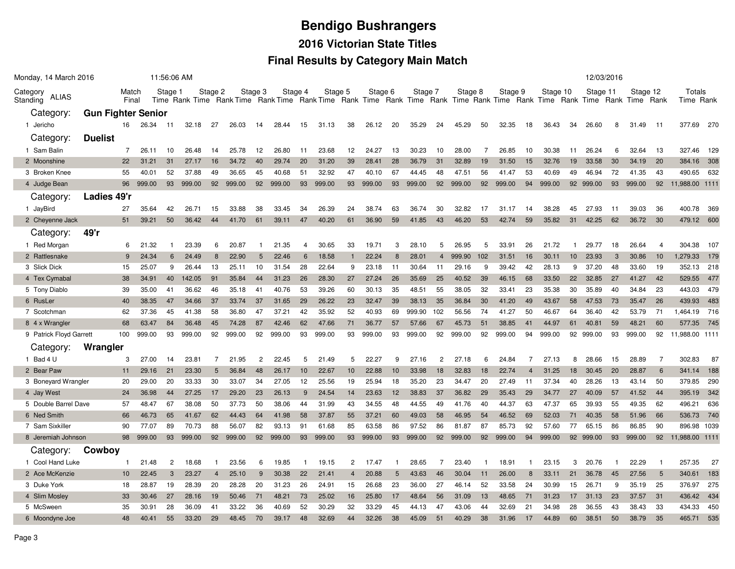# **Bendigo Bushrangers2016 Victorian State Titles**

#### **Final Results by Category Main Match**

| Monday, 14 March 2016         |                           |                |        | 11:56:06 AM    |        |                |        |                |        |         |         |                |         |                |         |                |         |     |                                                                                                                                    |                |          |    | 12/03/2016 |    |          |                |                     |       |
|-------------------------------|---------------------------|----------------|--------|----------------|--------|----------------|--------|----------------|--------|---------|---------|----------------|---------|----------------|---------|----------------|---------|-----|------------------------------------------------------------------------------------------------------------------------------------|----------------|----------|----|------------|----|----------|----------------|---------------------|-------|
| Category<br>ALIAS<br>Standing |                           | Match<br>Final |        | Stage 1        |        | Stage 2        |        | Stage 3        |        | Stage 4 | Stage 5 |                | Stage 6 |                | Stage 7 |                | Stage 8 |     | Stage 9<br>Time Rank Time Rank Time Rank Time Rank Time Rank Time Rank Time Rank Time Rank Time Rank Time Rank Time Rank Time Rank |                | Stage 10 |    | Stage 11   |    | Stage 12 |                | Totals<br>Time Rank |       |
| Category:                     | <b>Gun Fighter Senior</b> |                |        |                |        |                |        |                |        |         |         |                |         |                |         |                |         |     |                                                                                                                                    |                |          |    |            |    |          |                |                     |       |
| 1 Jericho                     |                           | 16             | 26.34  | 11             | 32.18  | 27             | 26.03  | 14             | 28.44  | 15      | 31.13   | 38             | 26.12   | 20             | 35.29   | 24             | 45.29   | 50  | 32.35                                                                                                                              | 18             | 36.43    | 34 | 26.60      | 8  | 31.49    | -11            | 377.69              | 270   |
| Category:                     | <b>Duelist</b>            |                |        |                |        |                |        |                |        |         |         |                |         |                |         |                |         |     |                                                                                                                                    |                |          |    |            |    |          |                |                     |       |
| 1 Sam Balin                   |                           | 7              | 26.11  | 10             | 26.48  | 14             | 25.78  | 12             | 26.80  | -11     | 23.68   | 12             | 24.27   | 13             | 30.23   | 10             | 28.00   | 7   | 26.85                                                                                                                              | 10             | 30.38    | 11 | 26.24      | 6  | 32.64    | 13             | 327.46              | - 129 |
| 2 Moonshine                   |                           | 22             | 31.21  | 31             | 27.17  | 16             | 34.72  | 40             | 29.74  | 20      | 31.20   | 39             | 28.41   | 28             | 36.79   | 31             | 32.89   | 19  | 31.50                                                                                                                              | 15             | 32.76    | 19 | 33.58      | 30 | 34.19    | 20             | 384.16 308          |       |
| 3 Broken Knee                 |                           | 55             | 40.01  | 52             | 37.88  | 49             | 36.65  | 45             | 40.68  | 51      | 32.92   | 47             | 40.10   | 67             | 44.45   | 48             | 47.51   | 56  | 41.47                                                                                                                              | 53             | 40.69    | 49 | 46.94      | 72 | 41.35    | 43             | 490.65              | 632   |
| 4 Judge Bean                  |                           | 96             | 999.00 | 93             | 999.00 | 92             | 999.00 | 92             | 999.00 | 93      | 999.00  | 93             | 999.00  | 93             | 999.00  | 92             | 999.00  | 92  | 999.00                                                                                                                             | 94             | 999.00   |    | 92 999.00  | 93 | 999.00   | 92             | 11,988.00 1111      |       |
| Category:                     | Ladies 49'r               |                |        |                |        |                |        |                |        |         |         |                |         |                |         |                |         |     |                                                                                                                                    |                |          |    |            |    |          |                |                     |       |
| 1 JayBird                     |                           | 27             | 35.64  | 42             | 26.71  | 15             | 33.88  | 38             | 33.45  | 34      | 26.39   | 24             | 38.74   | 63             | 36.74   | 30             | 32.82   | 17  | 31.17                                                                                                                              | 14             | 38.28    | 45 | 27.93      | 11 | 39.03    | 36             | 400.78              | 369   |
| 2 Cheyenne Jack               |                           | 51             | 39.21  | 50             | 36.42  | 44             | 41.70  | 61             | 39.11  | 47      | 40.20   | 61             | 36.90   | 59             | 41.85   | 43             | 46.20   | 53  | 42.74                                                                                                                              | 59             | 35.82    | 31 | 42.25      | 62 | 36.72    | 30             | 479.12 600          |       |
| Category:                     | 49'r                      |                |        |                |        |                |        |                |        |         |         |                |         |                |         |                |         |     |                                                                                                                                    |                |          |    |            |    |          |                |                     |       |
| 1 Red Morgan                  |                           | 6              | 21.32  |                | 23.39  | 6              | 20.87  |                | 21.35  | 4       | 30.65   | 33             | 19.71   | 3              | 28.10   | 5              | 26.95   | 5   | 33.9 <sup>2</sup>                                                                                                                  | 26             | 21.72    | -1 | 29.77      | 18 | 26.64    | $\overline{4}$ | 304.38              | 107   |
| 2 Rattlesnake                 |                           | 9              | 24.34  | 6              | 24.49  | 8              | 22.90  | 5              | 22.46  | 6       | 18.58   |                | 22.24   | 8              | 28.01   | $\overline{4}$ | 999.90  | 102 | 31.51                                                                                                                              | 16             | 30.11    | 10 | 23.93      | 3  | 30.86    | 10             | 1,279.33            | 179   |
| 3 Slick Dick                  |                           | 15             | 25.07  | 9              | 26.44  | 13             | 25.11  | 10             | 31.54  | 28      | 22.64   | 9              | 23.18   | 11             | 30.64   | 11             | 29.16   | 9   | 39.42                                                                                                                              | 42             | 28.13    | 9  | 37.20      | 48 | 33.60    | 19             | 352.13              | 218   |
| 4 Tex Cymabal                 |                           | 38             | 34.91  | 40             | 142.05 | 91             | 35.84  | 44             | 31.23  | 26      | 28.30   | 27             | 27.24   | 26             | 35.69   | 25             | 40.52   | 39  | 46.15                                                                                                                              | 68             | 33.50    | 22 | 32.85      | 27 | 41.27    | 42             | 529.55              | 477   |
| 5 Tony Diablo                 |                           | 39             | 35.00  | 41             | 36.62  | 46             | 35.18  | 41             | 40.76  | 53      | 39.26   | 60             | 30.13   | 35             | 48.51   | 55             | 38.05   | 32  | 33.41                                                                                                                              | 23             | 35.38    | 30 | 35.89      | 40 | 34.84    | 23             | 443.03              | 479   |
| 6 RusLer                      |                           | 40             | 38.35  | 47             | 34.66  | 37             | 33.74  | 37             | 31.65  | 29      | 26.22   | 23             | 32.47   | 39             | 38.13   | 35             | 36.84   | 30  | 41.20                                                                                                                              | 49             | 43.67    | 58 | 47.53      | 73 | 35.47    | 26             | 439.93              | 483   |
| 7 Scotchman                   |                           | 62             | 37.36  | 45             | 41.38  | 58             | 36.80  | 47             | 37.21  | 42      | 35.92   | 52             | 40.93   | 69             | 999.90  | 102            | 56.56   | 74  | 41.27                                                                                                                              | 50             | 46.67    | 64 | 36.40      | 42 | 53.79    | 71             | 1,464.19            | 716   |
| 8 4 x Wrangler                |                           | 68             | 63.47  | 84             | 36.48  | 45             | 74.28  | 87             | 42.46  | 62      | 47.66   | 71             | 36.77   | 57             | 57.66   | 67             | 45.73   | 51  | 38.85                                                                                                                              | 41             | 44.97    | 61 | 40.81      | 59 | 48.21    | 60             | 577.35              | 745   |
| 9 Patrick Floyd Garrett       |                           | 100            | 999.00 | 93             | 999.00 | 92             | 999.00 | 92             | 999.00 | 93      | 999.00  | 93             | 999.00  | 93             | 999.00  | 92             | 999.00  | 92  | 999.00                                                                                                                             | 94             | 999.00   | 92 | 999.00     | 93 | 999.00   | 92             | 11,988.00 1111      |       |
| Category:                     | Wrangler                  |                |        |                |        |                |        |                |        |         |         |                |         |                |         |                |         |     |                                                                                                                                    |                |          |    |            |    |          |                |                     |       |
| 1 Bad 4 U                     |                           | 3              | 27.00  | 14             | 23.81  | 7              | 21.95  | $\overline{c}$ | 22.45  | 5       | 21.49   | 5              | 22.27   | 9              | 27.16   | $\overline{2}$ | 27.18   | 6   | 24.84                                                                                                                              | 7              | 27.13    | 8  | 28.66      | 15 | 28.89    | $\overline{7}$ | 302.83              | 87    |
| 2 Bear Paw                    |                           | 11             | 29.16  | 21             | 23.30  | 5              | 36.84  | 48             | 26.17  | 10      | 22.67   | 10             | 22.88   | 10             | 33.98   | 18             | 32.83   | 18  | 22.74                                                                                                                              | $\overline{4}$ | 31.25    | 18 | 30.45      | 20 | 28.87    | 6              | 341.14              | 188   |
| 3 Boneyard Wrangler           |                           | 20             | 29.00  | 20             | 33.33  | 30             | 33.07  | 34             | 27.05  | 12      | 25.56   | 19             | 25.94   | 18             | 35.20   | 23             | 34.47   | 20  | 27.49                                                                                                                              | 11             | 37.34    | 40 | 28.26      | 13 | 43.14    | 50             | 379.85              | 290   |
| 4 Jay West                    |                           | 24             | 36.98  | 44             | 27.25  | 17             | 29.20  | 23             | 26.13  | 9       | 24.54   | 14             | 23.63   | 12             | 38.83   | 37             | 36.82   | 29  | 35.43                                                                                                                              | 29             | 34.77    | 27 | 40.09      | 57 | 41.52    | 44             | 395.19              | 342   |
| 5 Double Barrel Dave          |                           | 57             | 48.47  | 67             | 38.08  | 50             | 37.73  | 50             | 38.06  | 44      | 31.99   | 43             | 34.55   | 48             | 44.55   | 49             | 41.76   | 40  | 44.37                                                                                                                              | 63             | 47.37    | 65 | 39.93      | 55 | 49.35    | 62             | 496.21              | 636   |
| 6 Ned Smith                   |                           | 66             | 46.73  | 65             | 41.67  | 62             | 44.43  | 64             | 41.98  | 58      | 37.87   | 55             | 37.21   | 60             | 49.03   | 58             | 46.95   | 54  | 46.52                                                                                                                              | 69             | 52.03    | 71 | 40.35      | 58 | 51.96    | 66             | 536.73              | 740   |
| 7 Sam Sixkiller               |                           | 90             | 77.07  | 89             | 70.73  | 88             | 56.07  | 82             | 93.13  | 91      | 61.68   | 85             | 63.58   | 86             | 97.52   | 86             | 81.87   | 87  | 85.73                                                                                                                              | 92             | 57.60    | 77 | 65.15      | 86 | 86.85    | 90             | 896.98 1039         |       |
| 8 Jeremiah Johnson            |                           | 98             | 999.00 | 93             | 999.00 | 92             | 999.00 | 92             | 999.00 | 93      | 999.00  | 93             | 999.00  | 93             | 999.00  | 92             | 999.00  | 92  | 999.00                                                                                                                             | 94             | 999.00   |    | 92 999.00  | 93 | 999.00   |                | 92 11,988.00 1111   |       |
| Category:                     | Cowboy                    |                |        |                |        |                |        |                |        |         |         |                |         |                |         |                |         |     |                                                                                                                                    |                |          |    |            |    |          |                |                     |       |
| 1 Cool Hand Luke              |                           | $\mathbf{1}$   | 21.48  | $\overline{c}$ | 18.68  | -1             | 23.56  | 6              | 19.85  | -1      | 19.15   | 2              | 17.47   | -1             | 28.65   | 7              | 23.40   | -1  | 18.91                                                                                                                              | -1             | 23.15    | 3  | 20.76      |    | 22.29    | -1             | 257.35              | 27    |
| 2 Ace McKenzie                |                           | 10             | 22.45  | 3              | 23.27  | $\overline{4}$ | 25.10  | 9              | 30.38  | 22      | 21.41   | $\overline{4}$ | 20.88   | $5\phantom{1}$ | 43.63   | 46             | 30.04   | 11  | 26.00                                                                                                                              | 8              | 33.11    | 21 | 36.78      | 45 | 27.56    | 5              | 340.61              | 183   |
| 3 Duke York                   |                           | 18             | 28.87  | 19             | 28.39  | 20             | 28.28  | 20             | 31.23  | 26      | 24.91   | 15             | 26.68   | 23             | 36.00   | 27             | 46.14   | 52  | 33.58                                                                                                                              | 24             | 30.99    | 15 | 26.71      | 9  | 35.19    | 25             | 376.97              | 275   |
| 4 Slim Mosley                 |                           | 33             | 30.46  | 27             | 28.16  | 19             | 50.46  | 71             | 48.21  | 73      | 25.02   | 16             | 25.80   | 17             | 48.64   | 56             | 31.09   | 13  | 48.65                                                                                                                              | 71             | 31.23    | 17 | 31.13      | 23 | 37.57    | 31             | 436.42              | 434   |
| 5 McSween                     |                           | 35             | 30.91  | 28             | 36.09  | 41             | 33.22  | 36             | 40.69  | 52      | 30.29   | 32             | 33.29   | 45             | 44.13   | 47             | 43.06   | 44  | 32.69                                                                                                                              | 21             | 34.98    | 28 | 36.55      | 43 | 38.43    | 33             | 434.33              | 450   |
| 6 Moondyne Joe                |                           | 48             | 40.41  | 55             | 33.20  | 29             | 48.45  | 70             | 39.17  | 48      | 32.69   | 44             | 32.26   | 38             | 45.09   | 51             | 40.29   | 38  | 31.96                                                                                                                              | 17             | 44.89    | 60 | 38.51      | 50 | 38.79    | 35             | 465.71              | 535   |